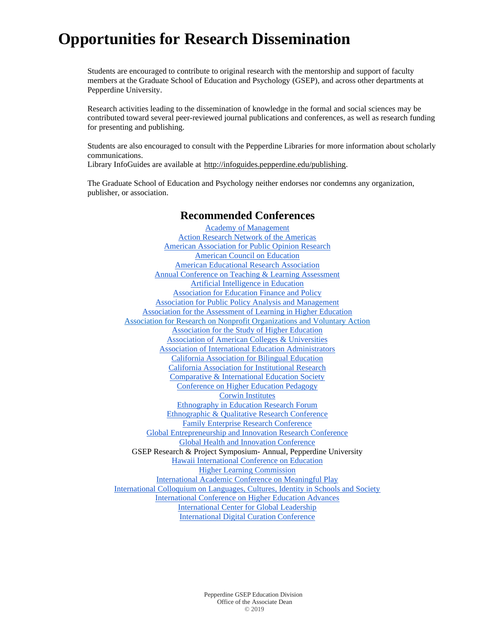Students are encouraged to contribute to original research with the mentorship and support of faculty members at the Graduate School of Education and Psychology (GSEP), and across other departments at Pepperdine University.

Research activities leading to the dissemination of knowledge in the formal and social sciences may be contributed toward several peer-reviewed journal publications and conferences, as well as research funding for presenting and publishing.

Students are also encouraged to consult with the Pepperdine Libraries for more information about scholarly communications.

Library InfoGuides are available at [http://infoguides.pepperdine.edu/publishing.](http://infoguides.pepperdine.edu/publishing)

The Graduate School of Education and Psychology neither endorses nor condemns any organization, publisher, or association.

#### **Recommended Conferences**

[Academy of Management](http://aom.org/) [Action Research Network of the Americas](http://arnawebsite.org/conferences/) [American Association for Public Opinion Research](https://www.aapor.org/Conference-Events/Annual-Meeting.aspx) [American Council on Education](https://www.acenet.edu/) [American Educational Research Association](https://www.aera.net/) [Annual Conference on Teaching & Learning Assessment](http://drexel.edu/aconf/) [Artificial Intelligence in Education](https://iaied.org/conferences) [Association for Education Finance and Policy](https://aefpweb.org/) [Association for Public Policy Analysis and Management](http://www.appam.org/events/) [Association for the Assessment of Learning in Higher Education](https://www.aalhe.org/) [Association for Research on Nonprofit Organizations and Voluntary Action](https://www.arnova.org/) [Association for the Study of Higher Education](https://www.ashe.ws/conference) [Association of American Colleges & Universities](https://www.aacu.org/) [Association of International Education Administrators](https://www.aieaworld.org/) [California Association for Bilingual Education](https://www.gocabe.org/) [California Association for Institutional Research](https://cair.org/conferences/annual-conference/) [Comparative & International Education Society](https://www.cies.us/) [Conference on Higher Education Pedagogy](https://chep.teaching.vt.edu/) [Corwin Institutes](https://us.corwin.com/en-us/nam/institutes) [Ethnography in Education Research Forum](https://www.gse.upenn.edu/cue/forum) [Ethnographic & Qualitative Research Conference](https://www.eqrc.net/home) [Family Enterprise Research Conference](https://www.uvm.edu/business/family_enterprise_research_conference) [Global Entrepreneurship and Innovation Research Conference](https://www.darden.virginia.edu/batten-institute/research/global-entrepreneurship-innovation-research-conference) [Global Health and Innovation Conference](http://www.uniteforsight.org/conference/) GSEP Research & Project Symposium- Annual, Pepperdine University [Hawaii International Conference on Education](http://hiceducation.org/) [Higher Learning Commission](https://www.hlcommission.org/Programs-Events/call-for-proposals.html) [International Academic Conference on Meaningful Play](http://meaningfulplay.msu.edu/) [International Colloquium on Languages, Cultures, Identity in Schools and Society](https://soe.lmu.edu/centers/internationalcolloquium/) [International Conference on Higher Education Advances](http://www.headconf.org/) [International Center for Global Leadership](http://www.icglconferences.com/) [International Digital Curation Conference](http://www.dcc.ac.uk/events/international-digital-curation-conference-idcc)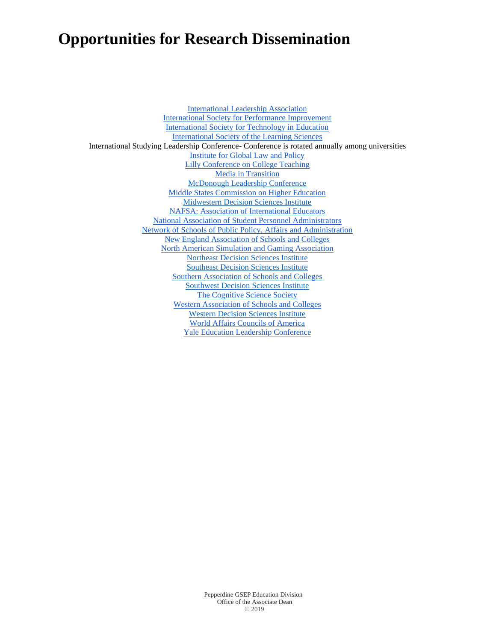[International Leadership Association](http://ila-net.org/) [International Society for Performance Improvement](https://www.ispi.org/) [International Society for Technology in Education](https://www.iste.org/) [International Society of the Learning Sciences](https://www.isls.org/conferences/) International Studying Leadership Conference- Conference is rotated annually among universities [Institute for Global Law and Policy](http://iglp.law.harvard.edu/signature-events/) [Lilly Conference on College Teaching](http://celt.miamioh.edu/lillycon/about.php) [Media in Transition](http://media-in-transition-10.mit.edu/) [McDonough Leadership Conference](https://www.marietta.edu/mcdonough-leadership-conference) [Middle States Commission on Higher Education](https://www.msche.org/annual-conference/) [Midwestern Decision Sciences Institute](http://www.mwdsi.net/) [NAFSA: Association of International Educators](https://www.nafsa.org/conferences) [National Association of Student Personnel Administrators](https://conference.naspa.org/) [Network of Schools of Public Policy, Affairs and Administration](https://www.naspaa.org/events/naspaa-annual-conference) [New England Association of Schools and Colleges](https://www.neasc.org/conference) [North American Simulation and Gaming Association](http://nasaga.org/) [Northeast Decision Sciences Institute](https://nedsi.net/) [Southeast Decision Sciences Institute](https://www.sedsi.org/about) [Southern Association of Schools and Colleges](http://www.sacscoc.org/aamain.asp) [Southwest Decision Sciences Institute](http://www.swdsi.org/) [The Cognitive Science Society](https://cognitivesciencesociety.org/future-conferences/) [Western Association of Schools and Colleges](https://www.arc.wscuc.org/) [Western Decision Sciences Institute](https://www.wdsi2020.org/) [World Affairs Councils of America](https://www.worldaffairscouncils.org/Programs/index.cfm?PageID=10) [Yale Education Leadership Conference](http://yaleeducationconference.com/)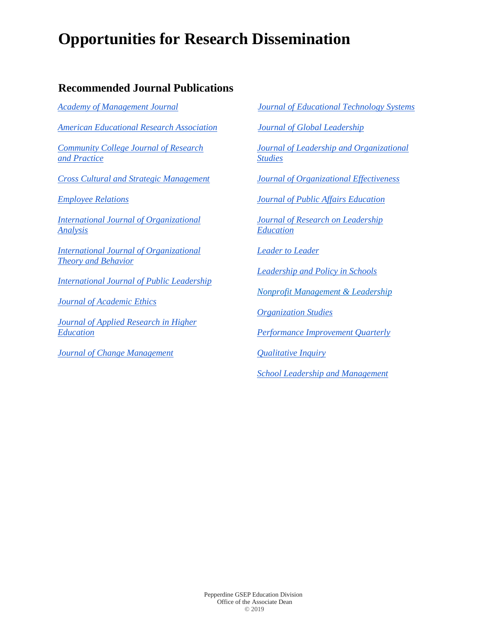### **Recommended Journal Publications**

*[Academy of Management Journal](https://journals.aom.org/toc/amj/current) [American Educational Research Association](http://www.aera.net/Publications/Journals) [Community College Journal of Research](https://www.tandfonline.com/toc/ucjc20/current) [and Practice](https://www.tandfonline.com/toc/ucjc20/current) [Cross Cultural and Strategic Management](http://emeraldgrouppublishing.com/products/journals/author_guidelines.htm?id=ccsm) [Employee Relations](http://emeraldgrouppublishing.com/products/journals/author_guidelines.htm?id=er) [International Journal of Organizational](http://emeraldgrouppublishing.com/products/journals/author_guidelines.htm?id=ijoa) [Analysis](http://emeraldgrouppublishing.com/products/journals/author_guidelines.htm?id=ijoa) [International Journal of Organizational](http://emeraldgrouppublishing.com/products/journals/author_guidelines.htm?id=joepp) [Theory and Behavior](http://emeraldgrouppublishing.com/products/journals/author_guidelines.htm?id=joepp) [International Journal of Public Leadership](http://www.emeraldgrouppublishing.com/products/journals/author_guidelines.htm?id=ijpl) [Journal of Academic Ethics](https://link.springer.com/journal/10805) [Journal of Applied Research in Higher](http://www.emeraldgrouppublishing.com/products/journals/author_guidelines.htm?id=jarhe) [Education](http://www.emeraldgrouppublishing.com/products/journals/author_guidelines.htm?id=jarhe) [Journal of Change Management](https://www.tandfonline.com/toc/rjcm20/current)*

*[Journal of Educational Technology Systems](https://us.sagepub.com/en-us/nam/journal-of-educational-technology-systems/journal202400#submission-guidelines) [Journal of Global Leadership](http://www.icglconferences.com/journal-global-leadership/) [Journal of Leadership and Organizational](https://us.sagepub.com/en-us/nam/journal-of-leadership-organizational-studies/journal201858#submission-guidelines) [Studies](https://us.sagepub.com/en-us/nam/journal-of-leadership-organizational-studies/journal201858#submission-guidelines) [Journal of Organizational Effectiveness](http://emeraldgrouppublishing.com/products/journals/author_guidelines.htm?id=joepp) [Journal of Public Affairs Education](https://www.tandfonline.com/toc/upae20/current) [Journal of Research on Leadership](https://us.sagepub.com/en-us/nam/journal/journal-research-leadership-education#submission-guidelines) [Education](https://us.sagepub.com/en-us/nam/journal/journal-research-leadership-education#submission-guidelines) [Leader to Leader](https://www.onlinelibrary.wiley.com/journal/15315355) [Leadership and Policy in Schools](https://www.tandfonline.com/toc/nlps20/current) [Nonprofit Management & Leadership](https://onlinelibrary.wiley.com/journal/15427854) [Organization Studies](https://journals.sagepub.com/home/oss) [Performance Improvement Quarterly](https://onlinelibrary.wiley.com/journal/19378327) [Qualitative Inquiry](https://us.sagepub.com/en-us/nam/journal/qualitative-inquiry#submission-guidelines)*

*[School Leadership and Management](https://www.tandfonline.com/toc/cslm20/current)*